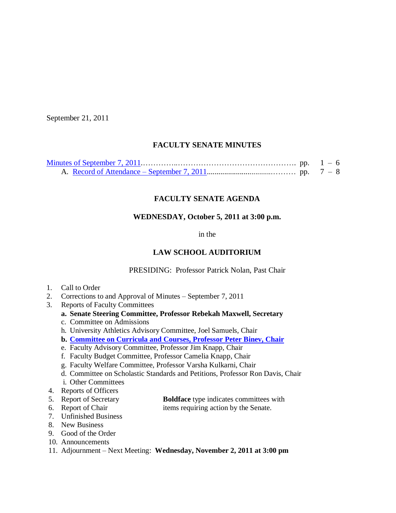September 21, 2011

# **FACULTY SENATE MINUTES**

## **FACULTY SENATE AGENDA**

## **WEDNESDAY, October 5, 2011 at 3:00 p.m.**

in the

# **LAW SCHOOL AUDITORIUM**

PRESIDING: Professor Patrick Nolan, Past Chair

- 1. Call to Order
- 2. Corrections to and Approval of Minutes September 7, 2011
- 3. Reports of Faculty Committees
	- **a. Senate Steering Committee, Professor Rebekah Maxwell, Secretary**
	- c. Committee on Admissions
	- h. University Athletics Advisory Committee, Joel Samuels, Chair
	- **b. [Committee on Curricula and Courses, Professor](http://www.sc.edu/faculty/senate/11/agenda/1005.cc.pdf) Peter Binev, Chair**
	- e. Faculty Advisory Committee, Professor Jim Knapp, Chair
	- f. Faculty Budget Committee, Professor Camelia Knapp, Chair
	- g. Faculty Welfare Committee, Professor Varsha Kulkarni, Chair
	- d. Committee on Scholastic Standards and Petitions, Professor Ron Davis, Chair
	- i. Other Committees
- 4. Reports of Officers
- 5. Report of Secretary **Boldface** type indicates committees with
- 6. Report of Chair items requiring action by the Senate.
- 7. Unfinished Business
- 8. New Business
- 9. Good of the Order
- 10. Announcements
- 11. Adjournment Next Meeting: **Wednesday, November 2, 2011 at 3:00 pm**